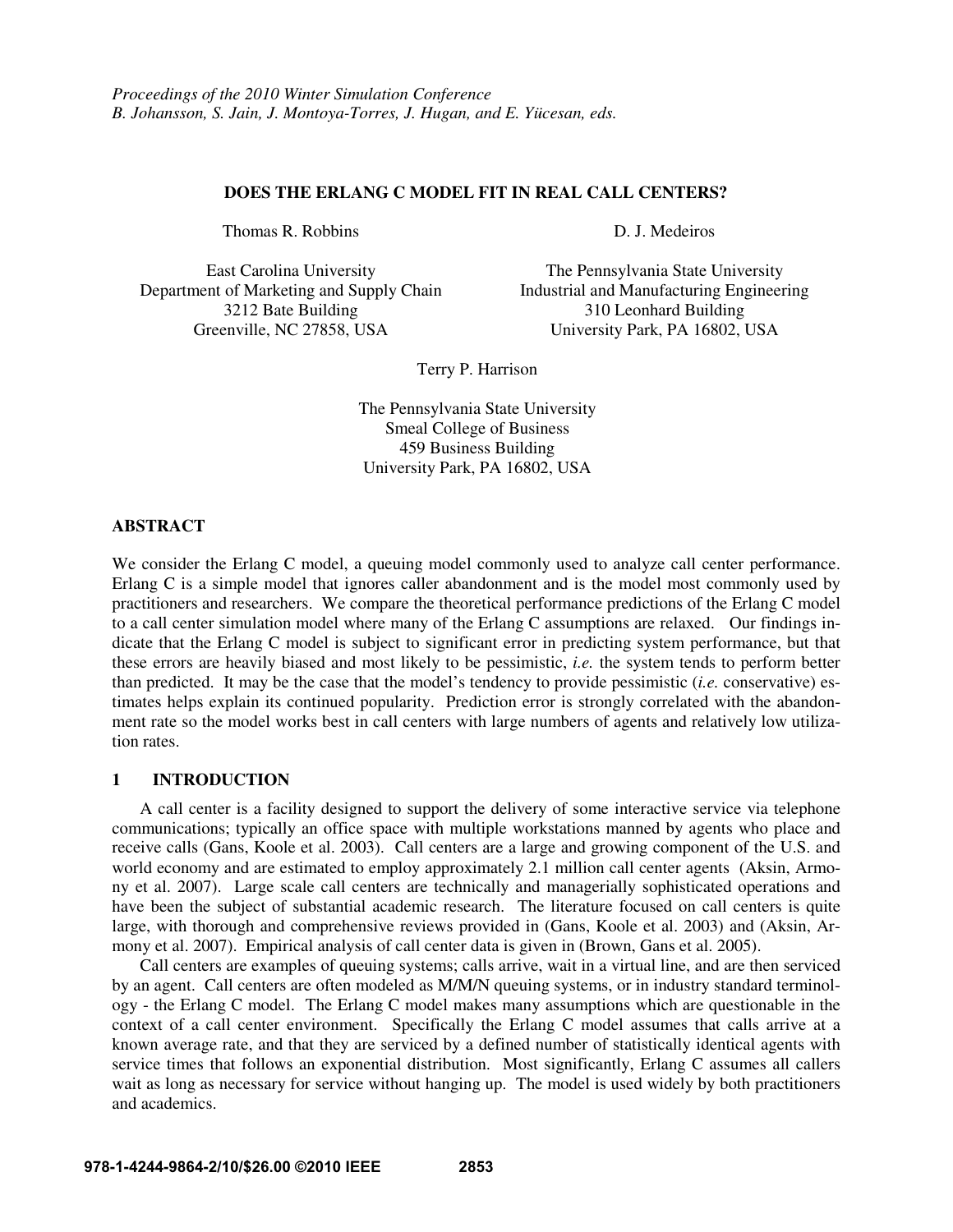### **DOES THE ERLANG C MODEL FIT IN REAL CALL CENTERS?**

Thomas R. Robbins D. J. Medeiros

Department of Marketing and Supply Chain Industrial and Manufacturing Engineering

East Carolina University The Pennsylvania State University 3212 Bate Building 310 Leonhard Building Greenville, NC 27858, USA University Park, PA 16802, USA

Terry P. Harrison

The Pennsylvania State University Smeal College of Business 459 Business Building University Park, PA 16802, USA

## **ABSTRACT**

We consider the Erlang C model, a queuing model commonly used to analyze call center performance. Erlang C is a simple model that ignores caller abandonment and is the model most commonly used by practitioners and researchers. We compare the theoretical performance predictions of the Erlang C model to a call center simulation model where many of the Erlang C assumptions are relaxed. Our findings indicate that the Erlang C model is subject to significant error in predicting system performance, but that these errors are heavily biased and most likely to be pessimistic, *i.e.* the system tends to perform better than predicted. It may be the case that the model's tendency to provide pessimistic (*i.e.* conservative) estimates helps explain its continued popularity. Prediction error is strongly correlated with the abandonment rate so the model works best in call centers with large numbers of agents and relatively low utilization rates.

# **1 INTRODUCTION**

A call center is a facility designed to support the delivery of some interactive service via telephone communications; typically an office space with multiple workstations manned by agents who place and receive calls (Gans, Koole et al. 2003). Call centers are a large and growing component of the U.S. and world economy and are estimated to employ approximately 2.1 million call center agents (Aksin, Armony et al. 2007). Large scale call centers are technically and managerially sophisticated operations and have been the subject of substantial academic research. The literature focused on call centers is quite large, with thorough and comprehensive reviews provided in (Gans, Koole et al. 2003) and (Aksin, Armony et al. 2007). Empirical analysis of call center data is given in (Brown, Gans et al. 2005).

Call centers are examples of queuing systems; calls arrive, wait in a virtual line, and are then serviced by an agent. Call centers are often modeled as M/M/N queuing systems, or in industry standard terminology - the Erlang C model. The Erlang C model makes many assumptions which are questionable in the context of a call center environment. Specifically the Erlang C model assumes that calls arrive at a known average rate, and that they are serviced by a defined number of statistically identical agents with service times that follows an exponential distribution. Most significantly, Erlang C assumes all callers wait as long as necessary for service without hanging up. The model is used widely by both practitioners and academics.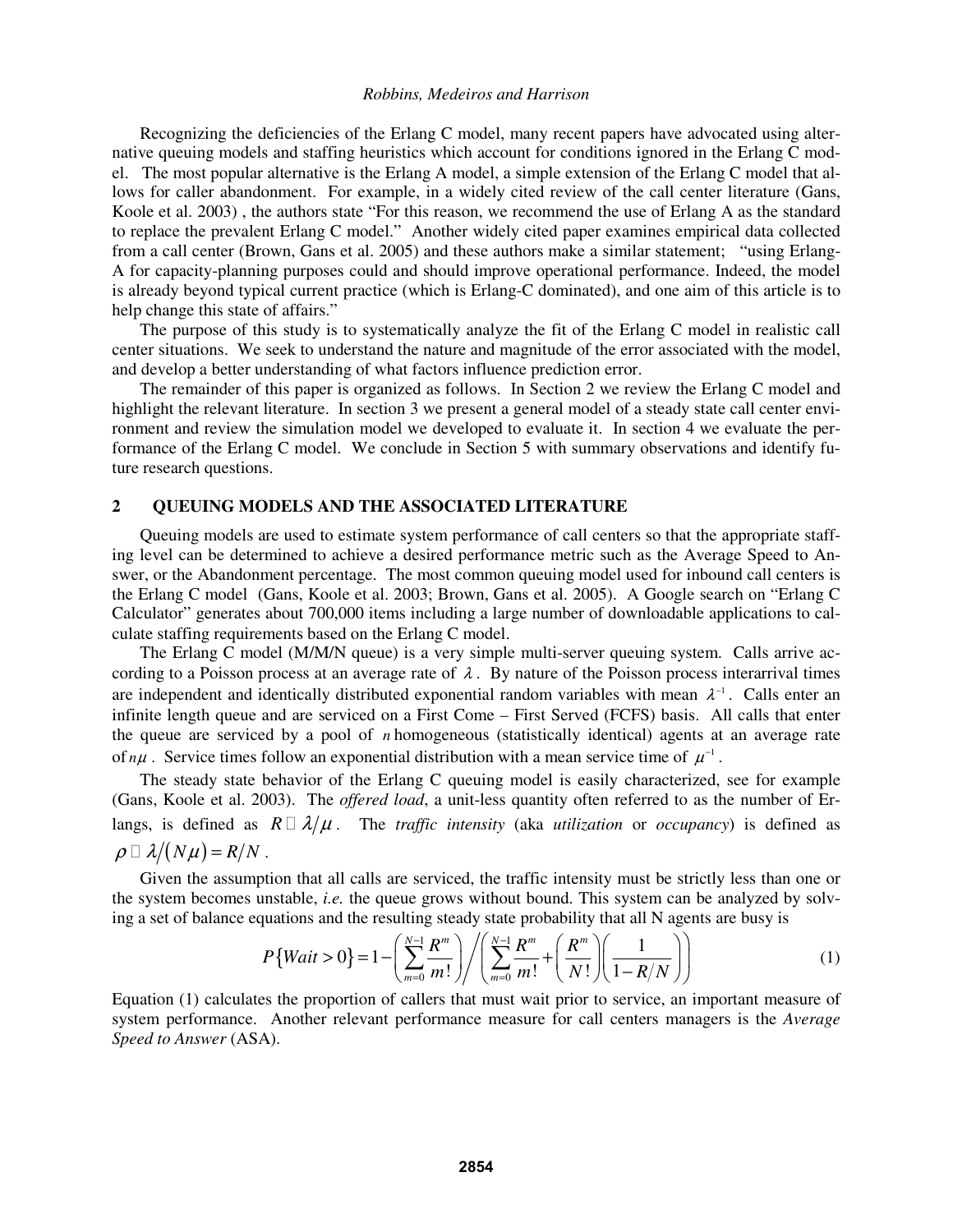Recognizing the deficiencies of the Erlang C model, many recent papers have advocated using alternative queuing models and staffing heuristics which account for conditions ignored in the Erlang C model. The most popular alternative is the Erlang A model, a simple extension of the Erlang C model that allows for caller abandonment. For example, in a widely cited review of the call center literature (Gans, Koole et al. 2003) , the authors state "For this reason, we recommend the use of Erlang A as the standard to replace the prevalent Erlang C model." Another widely cited paper examines empirical data collected from a call center (Brown, Gans et al. 2005) and these authors make a similar statement; "using Erlang-A for capacity-planning purposes could and should improve operational performance. Indeed, the model is already beyond typical current practice (which is Erlang-C dominated), and one aim of this article is to help change this state of affairs."

The purpose of this study is to systematically analyze the fit of the Erlang C model in realistic call center situations. We seek to understand the nature and magnitude of the error associated with the model, and develop a better understanding of what factors influence prediction error.

The remainder of this paper is organized as follows. In Section 2 we review the Erlang C model and highlight the relevant literature. In section 3 we present a general model of a steady state call center environment and review the simulation model we developed to evaluate it. In section 4 we evaluate the performance of the Erlang C model. We conclude in Section 5 with summary observations and identify future research questions.

## **2 QUEUING MODELS AND THE ASSOCIATED LITERATURE**

 Queuing models are used to estimate system performance of call centers so that the appropriate staffing level can be determined to achieve a desired performance metric such as the Average Speed to Answer, or the Abandonment percentage. The most common queuing model used for inbound call centers is the Erlang C model (Gans, Koole et al. 2003; Brown, Gans et al. 2005). A Google search on "Erlang C Calculator" generates about 700,000 items including a large number of downloadable applications to calculate staffing requirements based on the Erlang C model.

The Erlang C model (M/M/N queue) is a very simple multi-server queuing system. Calls arrive according to a Poisson process at an average rate of  $\lambda$ . By nature of the Poisson process interarrival times are independent and identically distributed exponential random variables with mean  $\lambda^{-1}$ . Calls enter an infinite length queue and are serviced on a First Come – First Served (FCFS) basis. All calls that enter the queue are serviced by a pool of *n* homogeneous (statistically identical) agents at an average rate of  $n\mu$ . Service times follow an exponential distribution with a mean service time of  $\mu^{-1}$ .

The steady state behavior of the Erlang C queuing model is easily characterized, see for example (Gans, Koole et al. 2003). The *offered load*, a unit-less quantity often referred to as the number of Erlangs, is defined as  $R \lambda/\mu$ . The *traffic intensity* (aka *utilization* or *occupancy*) is defined as  $\rho \quad \lambda/(N\mu) = R/N$ .

Given the assumption that all calls are serviced, the traffic intensity must be strictly less than one or the system becomes unstable, *i.e.* the queue grows without bound. This system can be analyzed by solving a set of balance equations and the resulting steady state probability that all N agents are busy is

$$
P\{Wait > 0\} = 1 - \left(\sum_{m=0}^{N-1} \frac{R^m}{m!} \right) / \left(\sum_{m=0}^{N-1} \frac{R^m}{m!} + \left(\frac{R^m}{N!} \right) \left(\frac{1}{1 - R/N}\right)\right)
$$
(1)

Equation (1) calculates the proportion of callers that must wait prior to service, an important measure of system performance. Another relevant performance measure for call centers managers is the *Average Speed to Answer* (ASA).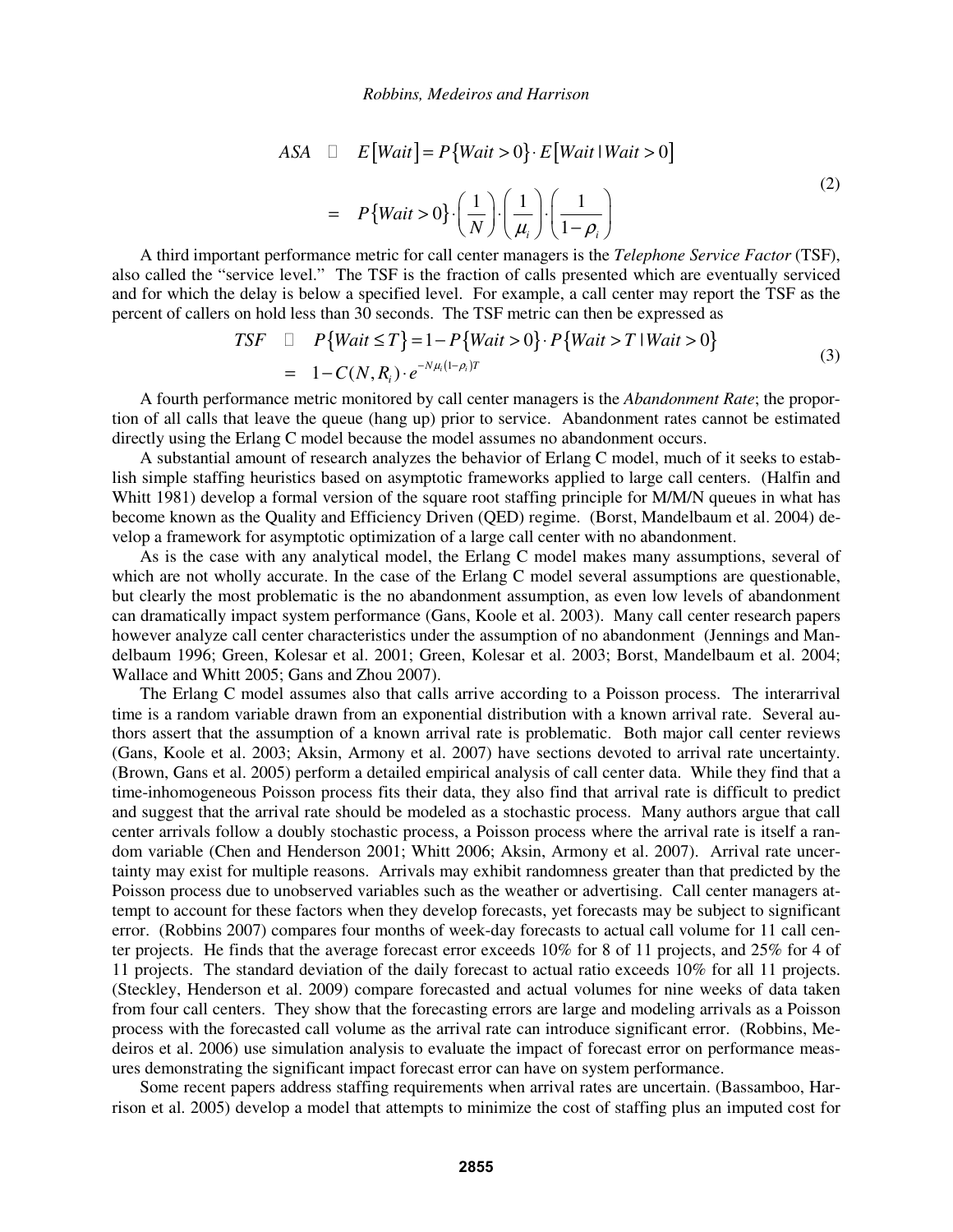ASA

\n
$$
E\left[Wait\right] = P\left\{Wait > 0\right\} \cdot E\left[Wait \mid Wait > 0\right]
$$
\n
$$
= P\left\{Wait > 0\right\} \cdot \left(\frac{1}{N}\right) \cdot \left(\frac{1}{\mu_i}\right) \cdot \left(\frac{1}{1 - \rho_i}\right) \tag{2}
$$

A third important performance metric for call center managers is the *Telephone Service Factor* (TSF), also called the "service level." The TSF is the fraction of calls presented which are eventually serviced and for which the delay is below a specified level. For example, a call center may report the TSF as the percent of callers on hold less than 30 seconds. The TSF metric can then be expressed as

TSF 
$$
P\{Wait \le T\} = 1 - P\{Wait > 0\} \cdot P\{Wait > T | Wait > 0\}
$$
  
=  $1 - C(N, R_i) \cdot e^{-N\mu_i(1 - \rho_i)T}$  (3)

A fourth performance metric monitored by call center managers is the *Abandonment Rate*; the proportion of all calls that leave the queue (hang up) prior to service. Abandonment rates cannot be estimated directly using the Erlang C model because the model assumes no abandonment occurs.

A substantial amount of research analyzes the behavior of Erlang C model, much of it seeks to establish simple staffing heuristics based on asymptotic frameworks applied to large call centers. (Halfin and Whitt 1981) develop a formal version of the square root staffing principle for M/M/N queues in what has become known as the Quality and Efficiency Driven (QED) regime. (Borst, Mandelbaum et al. 2004) develop a framework for asymptotic optimization of a large call center with no abandonment.

As is the case with any analytical model, the Erlang C model makes many assumptions, several of which are not wholly accurate. In the case of the Erlang C model several assumptions are questionable, but clearly the most problematic is the no abandonment assumption, as even low levels of abandonment can dramatically impact system performance (Gans, Koole et al. 2003). Many call center research papers however analyze call center characteristics under the assumption of no abandonment (Jennings and Mandelbaum 1996; Green, Kolesar et al. 2001; Green, Kolesar et al. 2003; Borst, Mandelbaum et al. 2004; Wallace and Whitt 2005; Gans and Zhou 2007).

The Erlang C model assumes also that calls arrive according to a Poisson process. The interarrival time is a random variable drawn from an exponential distribution with a known arrival rate. Several authors assert that the assumption of a known arrival rate is problematic. Both major call center reviews (Gans, Koole et al. 2003; Aksin, Armony et al. 2007) have sections devoted to arrival rate uncertainty. (Brown, Gans et al. 2005) perform a detailed empirical analysis of call center data. While they find that a time-inhomogeneous Poisson process fits their data, they also find that arrival rate is difficult to predict and suggest that the arrival rate should be modeled as a stochastic process. Many authors argue that call center arrivals follow a doubly stochastic process, a Poisson process where the arrival rate is itself a random variable (Chen and Henderson 2001; Whitt 2006; Aksin, Armony et al. 2007). Arrival rate uncertainty may exist for multiple reasons. Arrivals may exhibit randomness greater than that predicted by the Poisson process due to unobserved variables such as the weather or advertising. Call center managers attempt to account for these factors when they develop forecasts, yet forecasts may be subject to significant error. (Robbins 2007) compares four months of week-day forecasts to actual call volume for 11 call center projects. He finds that the average forecast error exceeds 10% for 8 of 11 projects, and 25% for 4 of 11 projects. The standard deviation of the daily forecast to actual ratio exceeds 10% for all 11 projects. (Steckley, Henderson et al. 2009) compare forecasted and actual volumes for nine weeks of data taken from four call centers. They show that the forecasting errors are large and modeling arrivals as a Poisson process with the forecasted call volume as the arrival rate can introduce significant error. (Robbins, Medeiros et al. 2006) use simulation analysis to evaluate the impact of forecast error on performance measures demonstrating the significant impact forecast error can have on system performance.

Some recent papers address staffing requirements when arrival rates are uncertain. (Bassamboo, Harrison et al. 2005) develop a model that attempts to minimize the cost of staffing plus an imputed cost for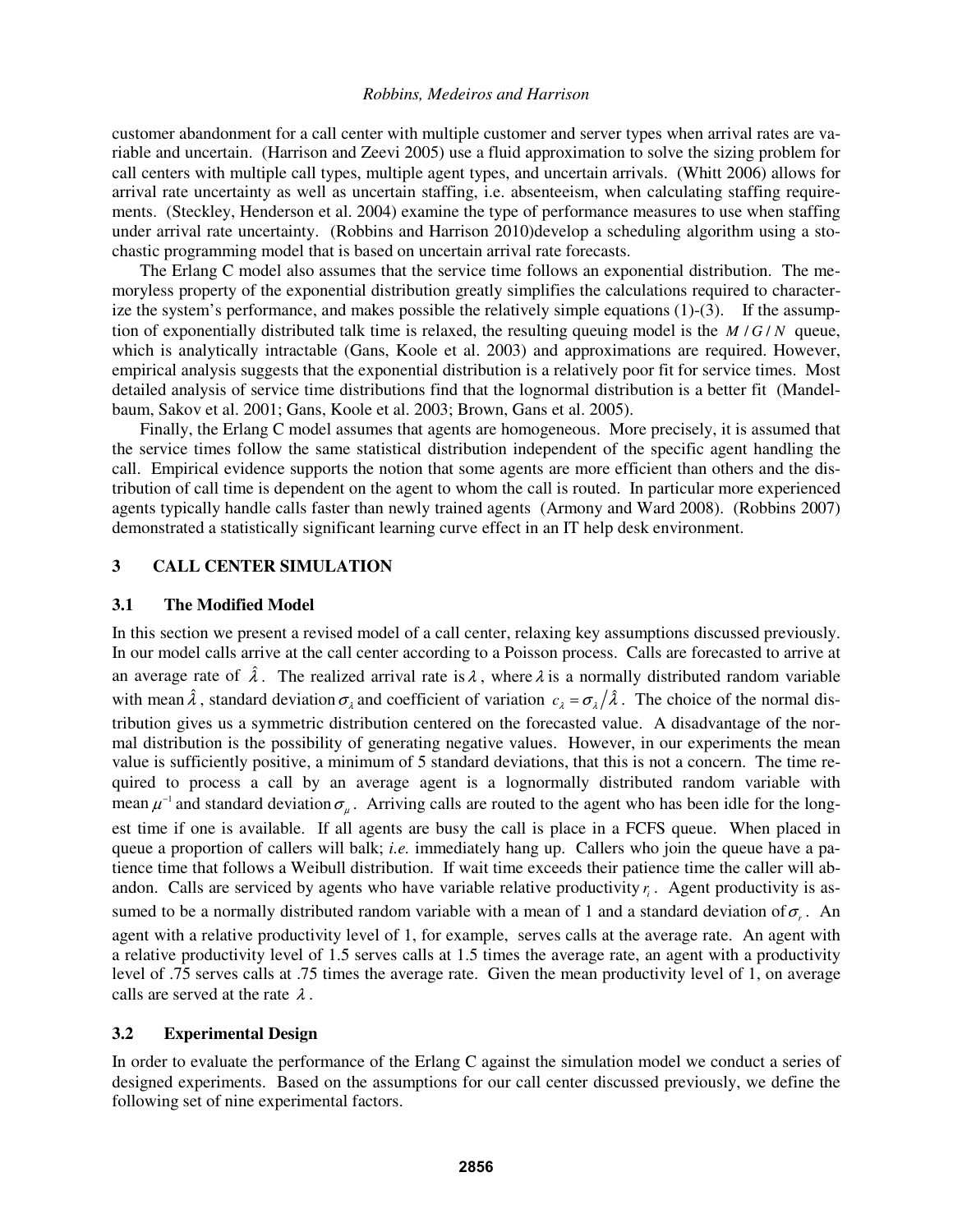customer abandonment for a call center with multiple customer and server types when arrival rates are variable and uncertain. (Harrison and Zeevi 2005) use a fluid approximation to solve the sizing problem for call centers with multiple call types, multiple agent types, and uncertain arrivals. (Whitt 2006) allows for arrival rate uncertainty as well as uncertain staffing, i.e. absenteeism, when calculating staffing requirements. (Steckley, Henderson et al. 2004) examine the type of performance measures to use when staffing under arrival rate uncertainty. (Robbins and Harrison 2010)develop a scheduling algorithm using a stochastic programming model that is based on uncertain arrival rate forecasts.

The Erlang C model also assumes that the service time follows an exponential distribution. The memoryless property of the exponential distribution greatly simplifies the calculations required to characterize the system's performance, and makes possible the relatively simple equations  $(1)-(3)$ . If the assumption of exponentially distributed talk time is relaxed, the resulting queuing model is the  $M/G/N$  queue, which is analytically intractable (Gans, Koole et al. 2003) and approximations are required. However, empirical analysis suggests that the exponential distribution is a relatively poor fit for service times. Most detailed analysis of service time distributions find that the lognormal distribution is a better fit (Mandelbaum, Sakov et al. 2001; Gans, Koole et al. 2003; Brown, Gans et al. 2005).

Finally, the Erlang C model assumes that agents are homogeneous. More precisely, it is assumed that the service times follow the same statistical distribution independent of the specific agent handling the call. Empirical evidence supports the notion that some agents are more efficient than others and the distribution of call time is dependent on the agent to whom the call is routed. In particular more experienced agents typically handle calls faster than newly trained agents (Armony and Ward 2008). (Robbins 2007) demonstrated a statistically significant learning curve effect in an IT help desk environment.

# **3 CALL CENTER SIMULATION**

## **3.1 The Modified Model**

In this section we present a revised model of a call center, relaxing key assumptions discussed previously. In our model calls arrive at the call center according to a Poisson process. Calls are forecasted to arrive at an average rate of  $\hat{\lambda}$ . The realized arrival rate is  $\lambda$ , where  $\lambda$  is a normally distributed random variable with mean  $\hat{\lambda}$ , standard deviation  $\sigma_{\lambda}$  and coefficient of variation  $c_{\lambda} = \sigma_{\lambda}/\hat{\lambda}$ . The choice of the normal distribution gives us a symmetric distribution centered on the forecasted value. A disadvantage of the normal distribution is the possibility of generating negative values. However, in our experiments the mean value is sufficiently positive, a minimum of 5 standard deviations, that this is not a concern. The time required to process a call by an average agent is a lognormally distributed random variable with mean  $\mu^{-1}$  and standard deviation  $\sigma_{\mu}$ . Arriving calls are routed to the agent who has been idle for the longest time if one is available. If all agents are busy the call is place in a FCFS queue. When placed in queue a proportion of callers will balk; *i.e.* immediately hang up. Callers who join the queue have a patience time that follows a Weibull distribution. If wait time exceeds their patience time the caller will abandon. Calls are serviced by agents who have variable relative productivity  $r<sub>i</sub>$ . Agent productivity is assumed to be a normally distributed random variable with a mean of 1 and a standard deviation of  $\sigma_r$ . An agent with a relative productivity level of 1, for example, serves calls at the average rate. An agent with a relative productivity level of 1.5 serves calls at 1.5 times the average rate, an agent with a productivity level of .75 serves calls at .75 times the average rate. Given the mean productivity level of 1, on average calls are served at the rate  $\lambda$ .

## **3.2 Experimental Design**

In order to evaluate the performance of the Erlang C against the simulation model we conduct a series of designed experiments. Based on the assumptions for our call center discussed previously, we define the following set of nine experimental factors.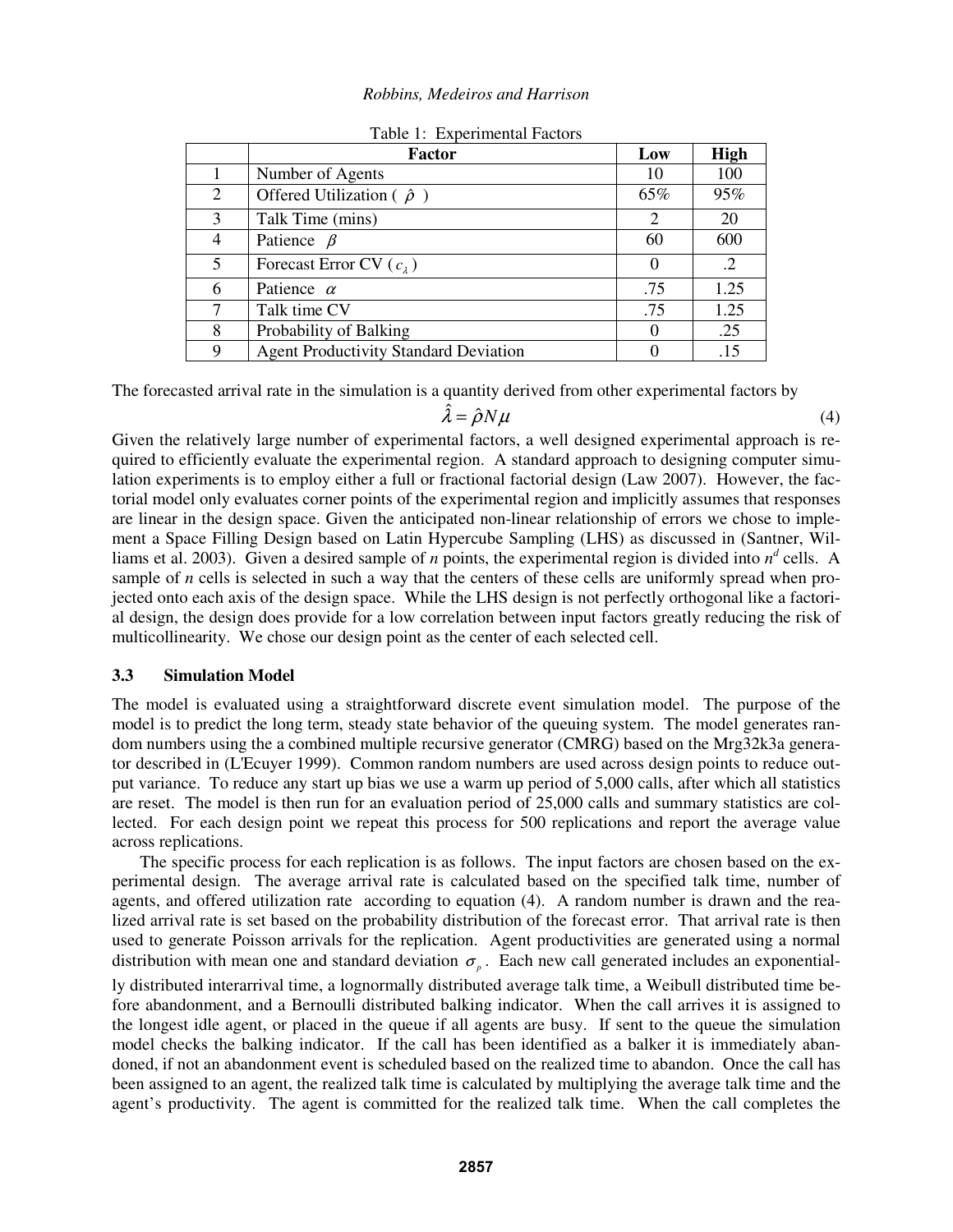|   | <b>Factor</b>                                | Low            | <b>High</b> |
|---|----------------------------------------------|----------------|-------------|
|   | Number of Agents                             | 10             | 100         |
| 2 | Offered Utilization ( $\hat{\rho}$ )         | 65%            | 95%         |
| 3 | Talk Time (mins)                             | $\overline{2}$ | 20          |
| 4 | Patience $\beta$                             | 60             | 600         |
| 5 | Forecast Error CV $(c_2)$                    | $\theta$       | $\cdot$ .2  |
| 6 | Patience $\alpha$                            | .75            | 1.25        |
|   | Talk time CV                                 | .75            | 1.25        |
| 8 | Probability of Balking                       | $\Omega$       | .25         |
| 9 | <b>Agent Productivity Standard Deviation</b> |                | .15         |

Table 1: Experimental Factors

The forecasted arrival rate in the simulation is a quantity derived from other experimental factors by

$$
\hat{\lambda} = \hat{\rho} N \mu \tag{4}
$$

Given the relatively large number of experimental factors, a well designed experimental approach is required to efficiently evaluate the experimental region. A standard approach to designing computer simulation experiments is to employ either a full or fractional factorial design (Law 2007). However, the factorial model only evaluates corner points of the experimental region and implicitly assumes that responses are linear in the design space. Given the anticipated non-linear relationship of errors we chose to implement a Space Filling Design based on Latin Hypercube Sampling (LHS) as discussed in (Santner, Williams et al. 2003). Given a desired sample of *n* points, the experimental region is divided into  $n^d$  cells. A sample of *n* cells is selected in such a way that the centers of these cells are uniformly spread when projected onto each axis of the design space. While the LHS design is not perfectly orthogonal like a factorial design, the design does provide for a low correlation between input factors greatly reducing the risk of multicollinearity. We chose our design point as the center of each selected cell.

# **3.3 Simulation Model**

The model is evaluated using a straightforward discrete event simulation model. The purpose of the model is to predict the long term, steady state behavior of the queuing system. The model generates random numbers using the a combined multiple recursive generator (CMRG) based on the Mrg32k3a generator described in (L'Ecuyer 1999). Common random numbers are used across design points to reduce output variance. To reduce any start up bias we use a warm up period of 5,000 calls, after which all statistics are reset. The model is then run for an evaluation period of 25,000 calls and summary statistics are collected. For each design point we repeat this process for 500 replications and report the average value across replications.

The specific process for each replication is as follows. The input factors are chosen based on the experimental design. The average arrival rate is calculated based on the specified talk time, number of agents, and offered utilization rate according to equation (4). A random number is drawn and the realized arrival rate is set based on the probability distribution of the forecast error. That arrival rate is then used to generate Poisson arrivals for the replication. Agent productivities are generated using a normal distribution with mean one and standard deviation  $\sigma_{p}$ . Each new call generated includes an exponentially distributed interarrival time, a lognormally distributed average talk time, a Weibull distributed time before abandonment, and a Bernoulli distributed balking indicator. When the call arrives it is assigned to the longest idle agent, or placed in the queue if all agents are busy. If sent to the queue the simulation model checks the balking indicator. If the call has been identified as a balker it is immediately abandoned, if not an abandonment event is scheduled based on the realized time to abandon. Once the call has been assigned to an agent, the realized talk time is calculated by multiplying the average talk time and the agent's productivity. The agent is committed for the realized talk time. When the call completes the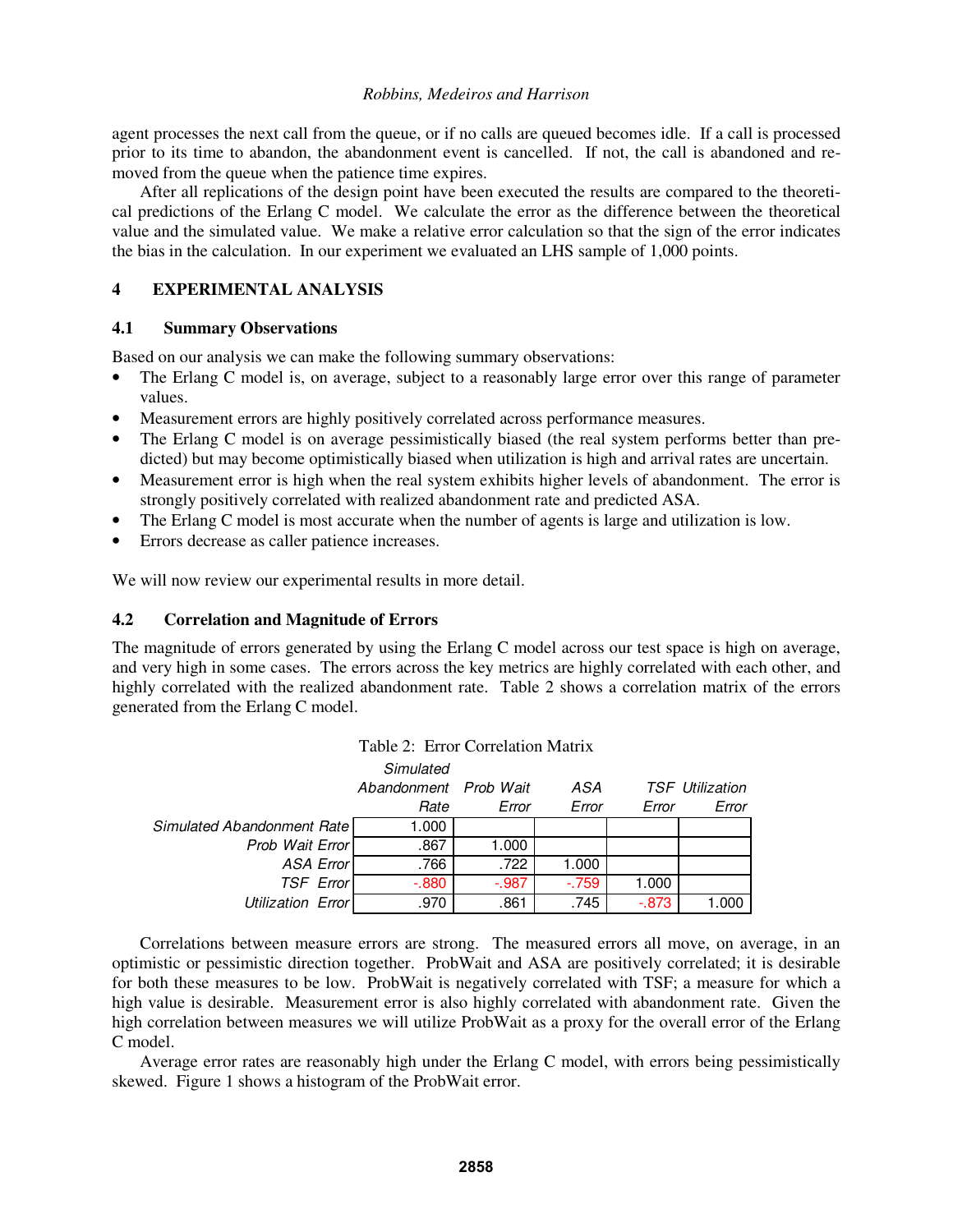agent processes the next call from the queue, or if no calls are queued becomes idle. If a call is processed prior to its time to abandon, the abandonment event is cancelled. If not, the call is abandoned and removed from the queue when the patience time expires.

After all replications of the design point have been executed the results are compared to the theoretical predictions of the Erlang C model. We calculate the error as the difference between the theoretical value and the simulated value. We make a relative error calculation so that the sign of the error indicates the bias in the calculation. In our experiment we evaluated an LHS sample of 1,000 points.

# **4 EXPERIMENTAL ANALYSIS**

# **4.1 Summary Observations**

Based on our analysis we can make the following summary observations:

- The Erlang C model is, on average, subject to a reasonably large error over this range of parameter values.
- Measurement errors are highly positively correlated across performance measures.
- The Erlang C model is on average pessimistically biased (the real system performs better than predicted) but may become optimistically biased when utilization is high and arrival rates are uncertain.
- Measurement error is high when the real system exhibits higher levels of abandonment. The error is strongly positively correlated with realized abandonment rate and predicted ASA.
- The Erlang C model is most accurate when the number of agents is large and utilization is low.
- Errors decrease as caller patience increases.

We will now review our experimental results in more detail.

# **4.2 Correlation and Magnitude of Errors**

The magnitude of errors generated by using the Erlang C model across our test space is high on average, and very high in some cases. The errors across the key metrics are highly correlated with each other, and highly correlated with the realized abandonment rate. Table 2 shows a correlation matrix of the errors generated from the Erlang C model.

| Table 2: Error Correlation Matrix |                       |          |        |          |                 |  |
|-----------------------------------|-----------------------|----------|--------|----------|-----------------|--|
|                                   | Simulated             |          |        |          |                 |  |
|                                   | Abandonment Prob Wait |          | ASA    |          | TSF Utilization |  |
|                                   | Rate                  | Error    | Error  | Error    | Error           |  |
| Simulated Abandonment Rate        | 1.000                 |          |        |          |                 |  |
| Prob Wait Error                   | .867                  | 1.000    |        |          |                 |  |
| <b>ASA Error</b>                  | .766                  | .722     | 1.000  |          |                 |  |
| <b>TSF Error</b>                  | $-0.880$              | $-0.987$ | $-759$ | 1.000    |                 |  |
| Utilization Error                 | .970                  | .861     | .745   | $-0.873$ | 1.000           |  |

Correlations between measure errors are strong. The measured errors all move, on average, in an optimistic or pessimistic direction together. ProbWait and ASA are positively correlated; it is desirable for both these measures to be low. ProbWait is negatively correlated with TSF; a measure for which a high value is desirable. Measurement error is also highly correlated with abandonment rate. Given the high correlation between measures we will utilize ProbWait as a proxy for the overall error of the Erlang C model.

Average error rates are reasonably high under the Erlang C model, with errors being pessimistically skewed. Figure 1 shows a histogram of the ProbWait error.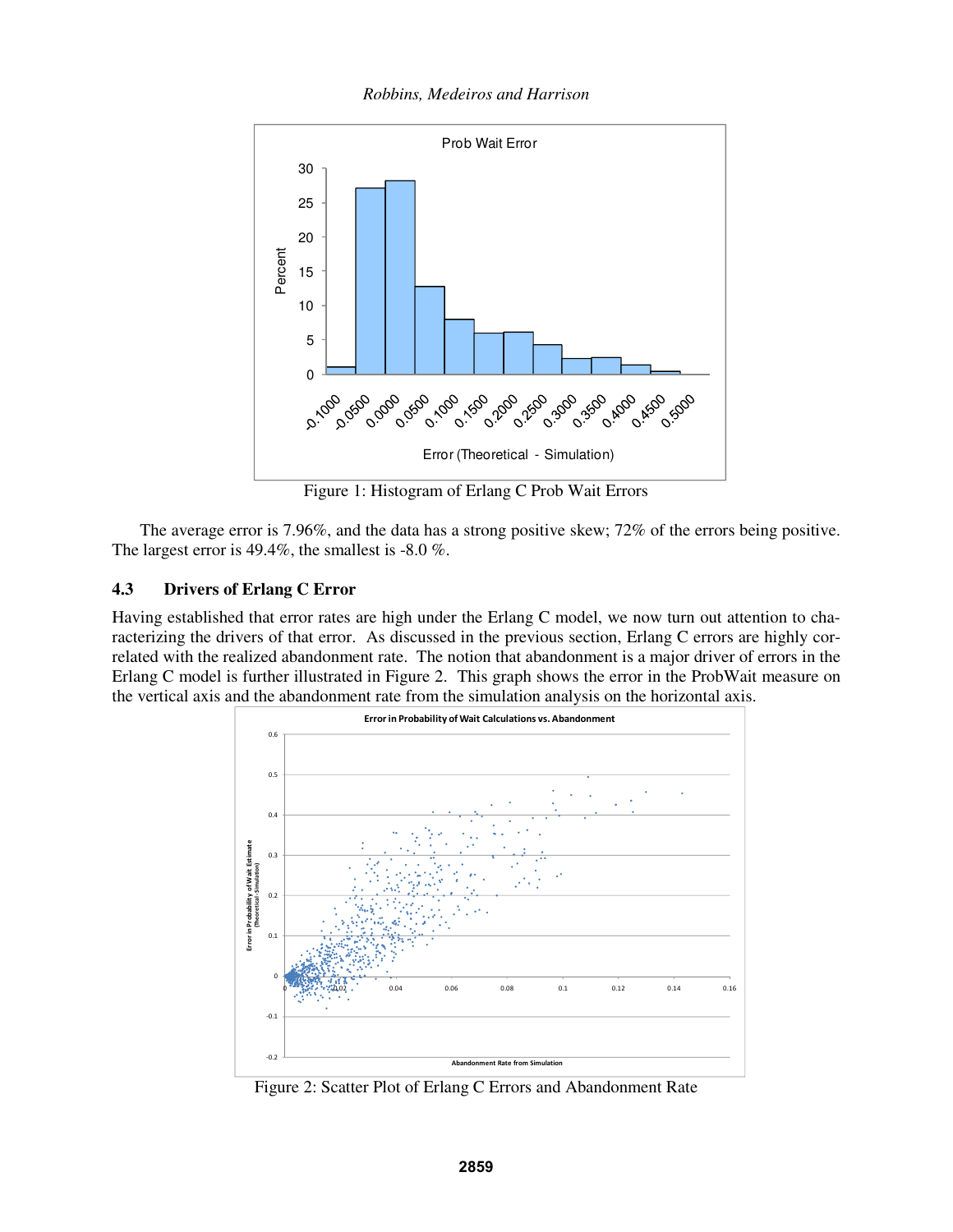*Robbins, Medeiros and Harrison* 



Figure 1: Histogram of Erlang C Prob Wait Errors

The average error is 7.96%, and the data has a strong positive skew; 72% of the errors being positive. The largest error is 49.4%, the smallest is -8.0 %.

# **4.3 Drivers of Erlang C Error**

Having established that error rates are high under the Erlang C model, we now turn out attention to characterizing the drivers of that error. As discussed in the previous section, Erlang C errors are highly correlated with the realized abandonment rate. The notion that abandonment is a major driver of errors in the Erlang C model is further illustrated in Figure 2. This graph shows the error in the ProbWait measure on the vertical axis and the abandonment rate from the simulation analysis on the horizontal axis.



Figure 2: Scatter Plot of Erlang C Errors and Abandonment Rate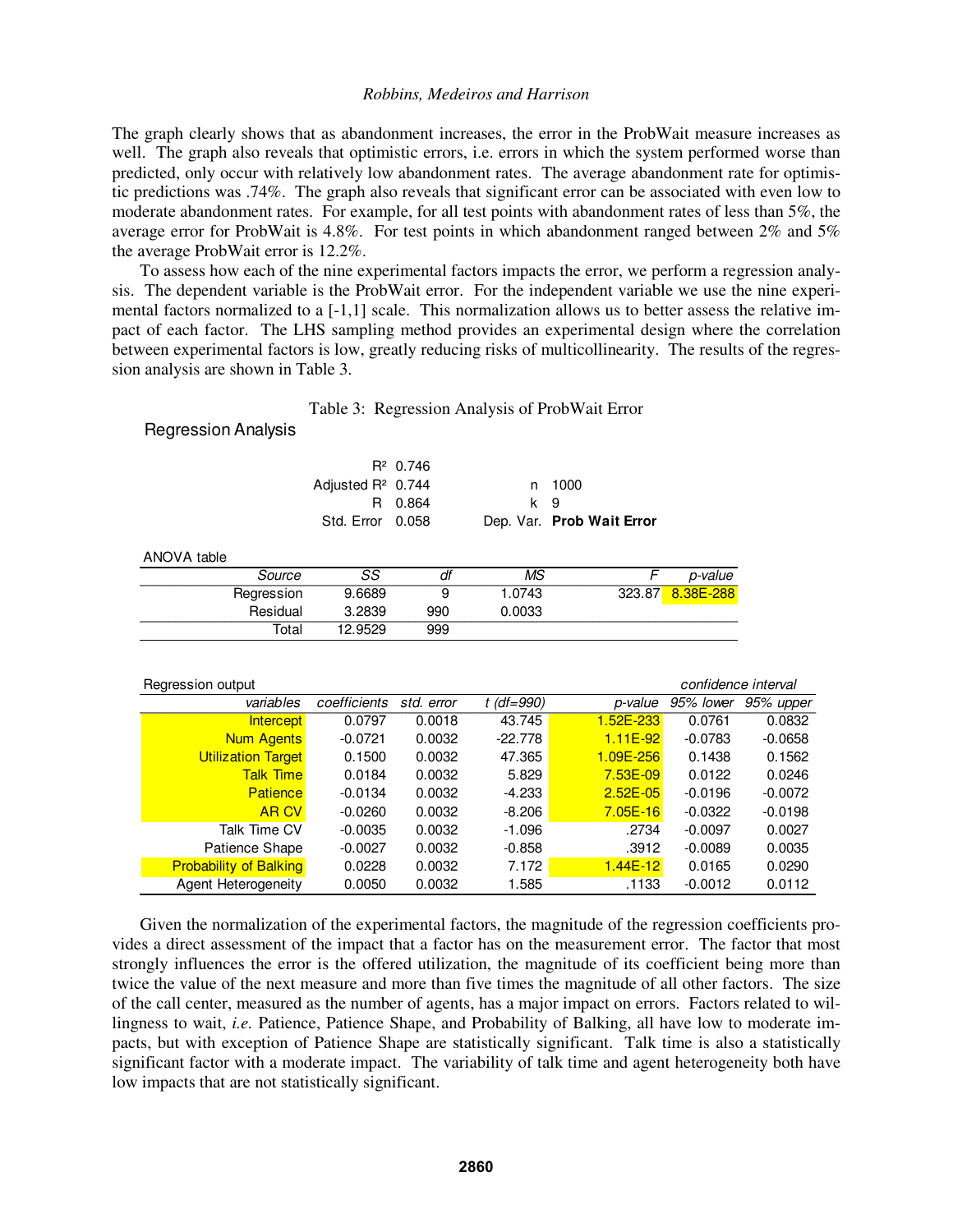The graph clearly shows that as abandonment increases, the error in the ProbWait measure increases as well. The graph also reveals that optimistic errors, i.e. errors in which the system performed worse than predicted, only occur with relatively low abandonment rates. The average abandonment rate for optimistic predictions was .74%. The graph also reveals that significant error can be associated with even low to moderate abandonment rates. For example, for all test points with abandonment rates of less than 5%, the average error for ProbWait is 4.8%. For test points in which abandonment ranged between 2% and 5% the average ProbWait error is 12.2%.

To assess how each of the nine experimental factors impacts the error, we perform a regression analysis. The dependent variable is the ProbWait error. For the independent variable we use the nine experimental factors normalized to a [-1,1] scale. This normalization allows us to better assess the relative impact of each factor. The LHS sampling method provides an experimental design where the correlation between experimental factors is low, greatly reducing risks of multicollinearity. The results of the regression analysis are shown in Table 3.

Table 3: Regression Analysis of ProbWait Error

|                               | $R^2$ 0.746 |                           |
|-------------------------------|-------------|---------------------------|
| Adiusted R <sup>2</sup> 0.744 |             | n 1000                    |
|                               | R 0.864     | k 9                       |
| Std. Error 0.058              |             | Dep. Var. Prob Wait Error |

| ANOVA table |            |        |     |       |         |
|-------------|------------|--------|-----|-------|---------|
|             | Source     |        | aı  | VIS   | p-value |
|             | Regression | 9.6689 |     | .0743 | nn      |
|             | Residual   | 3.2839 | 99C | .0033 |         |
|             | ำta⊨       |        | 199 |       |         |

| Regression output             |              |            |              |              |           | confidence interval |  |
|-------------------------------|--------------|------------|--------------|--------------|-----------|---------------------|--|
| variables                     | coefficients | std. error | $t$ (df=990) | p-value      | 95% lower | 95% upper           |  |
| <b>Intercept</b>              | 0.0797       | 0.0018     | 43.745       | 1.52E-233    | 0.0761    | 0.0832              |  |
| <b>Num Agents</b>             | $-0.0721$    | 0.0032     | $-22.778$    | $1.11E-92$   | $-0.0783$ | $-0.0658$           |  |
| <b>Utilization Target</b>     | 0.1500       | 0.0032     | 47.365       | 1.09E-256    | 0.1438    | 0.1562              |  |
| Talk Time                     | 0.0184       | 0.0032     | 5.829        | $7.53E - 09$ | 0.0122    | 0.0246              |  |
| <b>Patience</b>               | $-0.0134$    | 0.0032     | $-4.233$     | $2.52E - 05$ | $-0.0196$ | $-0.0072$           |  |
| <b>ARCV</b>                   | $-0.0260$    | 0.0032     | $-8.206$     | $7.05E - 16$ | $-0.0322$ | $-0.0198$           |  |
| Talk Time CV                  | $-0.0035$    | 0.0032     | $-1.096$     | .2734        | $-0.0097$ | 0.0027              |  |
| Patience Shape                | $-0.0027$    | 0.0032     | $-0.858$     | .3912        | $-0.0089$ | 0.0035              |  |
| <b>Probability of Balking</b> | 0.0228       | 0.0032     | 7.172        | $1.44E - 12$ | 0.0165    | 0.0290              |  |
| Agent Heterogeneity           | 0.0050       | 0.0032     | 1.585        | .1133        | $-0.0012$ | 0.0112              |  |

Given the normalization of the experimental factors, the magnitude of the regression coefficients provides a direct assessment of the impact that a factor has on the measurement error. The factor that most strongly influences the error is the offered utilization, the magnitude of its coefficient being more than twice the value of the next measure and more than five times the magnitude of all other factors. The size of the call center, measured as the number of agents, has a major impact on errors. Factors related to willingness to wait, *i.e.* Patience, Patience Shape, and Probability of Balking, all have low to moderate impacts, but with exception of Patience Shape are statistically significant. Talk time is also a statistically significant factor with a moderate impact. The variability of talk time and agent heterogeneity both have low impacts that are not statistically significant.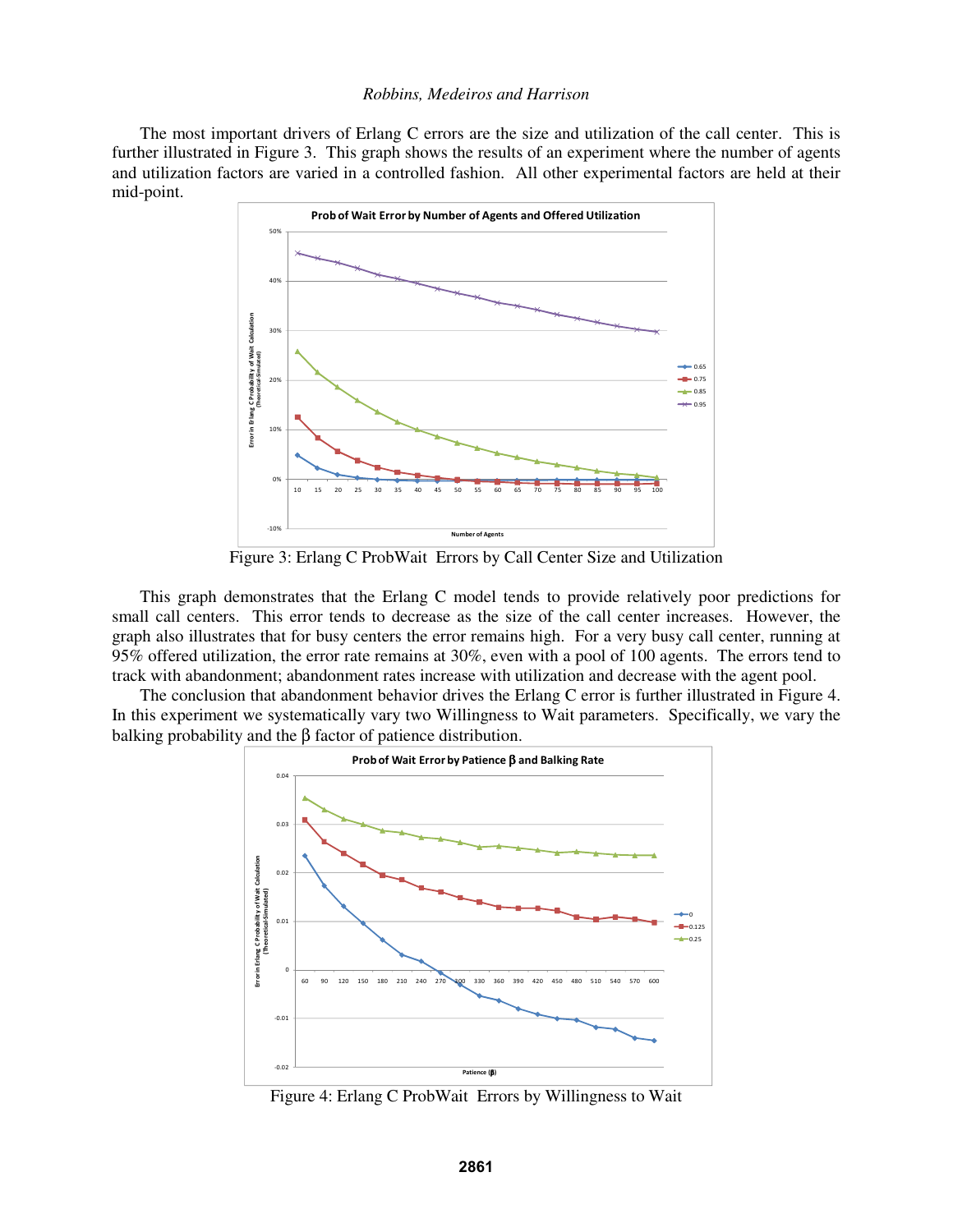The most important drivers of Erlang C errors are the size and utilization of the call center. This is further illustrated in Figure 3. This graph shows the results of an experiment where the number of agents and utilization factors are varied in a controlled fashion. All other experimental factors are held at their mid-point.



Figure 3: Erlang C ProbWait Errors by Call Center Size and Utilization

This graph demonstrates that the Erlang C model tends to provide relatively poor predictions for small call centers. This error tends to decrease as the size of the call center increases. However, the graph also illustrates that for busy centers the error remains high. For a very busy call center, running at 95% offered utilization, the error rate remains at 30%, even with a pool of 100 agents. The errors tend to track with abandonment; abandonment rates increase with utilization and decrease with the agent pool.

The conclusion that abandonment behavior drives the Erlang C error is further illustrated in Figure 4. In this experiment we systematically vary two Willingness to Wait parameters. Specifically, we vary the balking probability and the β factor of patience distribution.



Figure 4: Erlang C ProbWait Errors by Willingness to Wait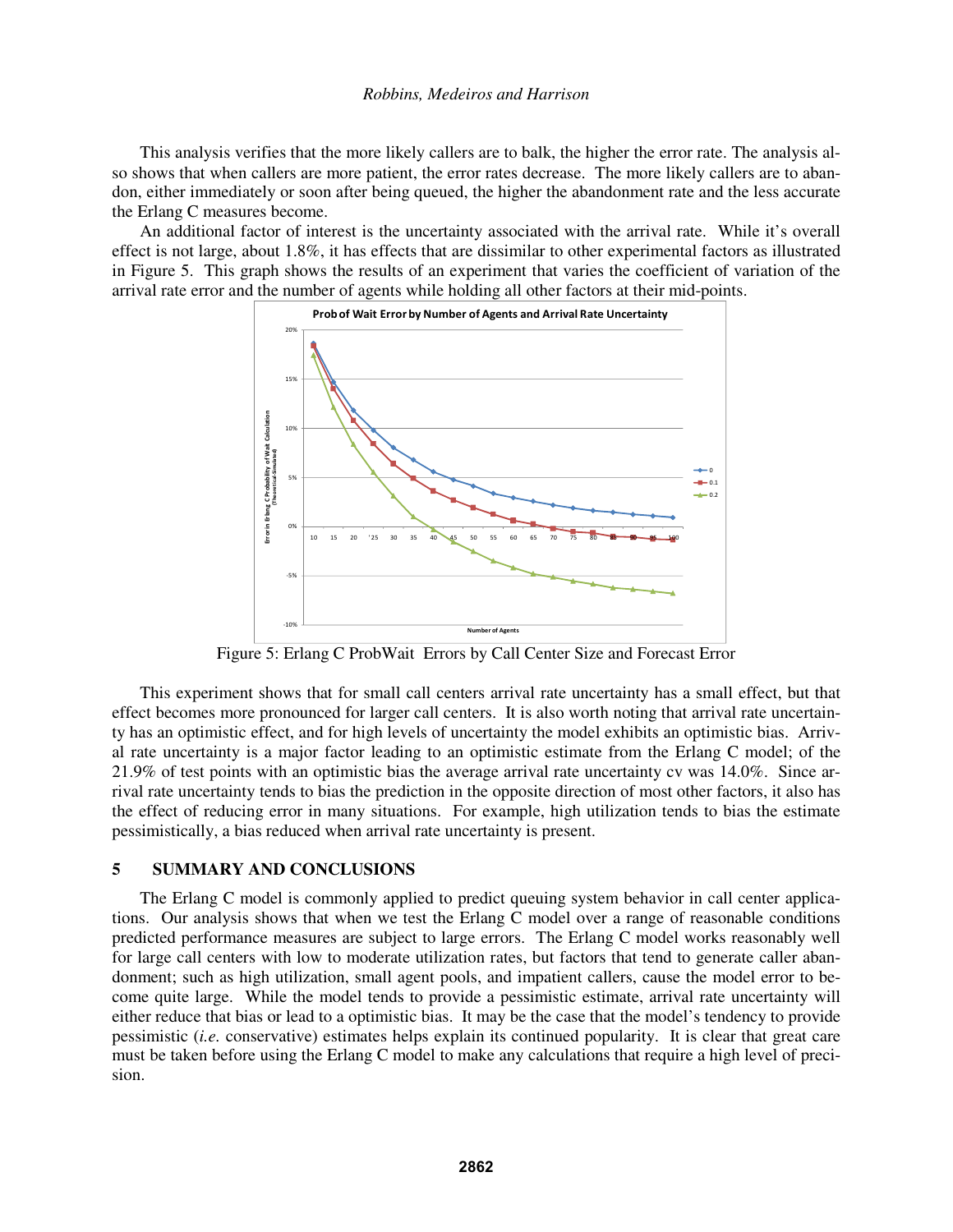This analysis verifies that the more likely callers are to balk, the higher the error rate. The analysis also shows that when callers are more patient, the error rates decrease. The more likely callers are to abandon, either immediately or soon after being queued, the higher the abandonment rate and the less accurate the Erlang C measures become.

An additional factor of interest is the uncertainty associated with the arrival rate. While it's overall effect is not large, about 1.8%, it has effects that are dissimilar to other experimental factors as illustrated in Figure 5. This graph shows the results of an experiment that varies the coefficient of variation of the arrival rate error and the number of agents while holding all other factors at their mid-points.



Figure 5: Erlang C ProbWait Errors by Call Center Size and Forecast Error

This experiment shows that for small call centers arrival rate uncertainty has a small effect, but that effect becomes more pronounced for larger call centers. It is also worth noting that arrival rate uncertainty has an optimistic effect, and for high levels of uncertainty the model exhibits an optimistic bias. Arrival rate uncertainty is a major factor leading to an optimistic estimate from the Erlang C model; of the 21.9% of test points with an optimistic bias the average arrival rate uncertainty cv was 14.0%. Since arrival rate uncertainty tends to bias the prediction in the opposite direction of most other factors, it also has the effect of reducing error in many situations. For example, high utilization tends to bias the estimate pessimistically, a bias reduced when arrival rate uncertainty is present.

# **5 SUMMARY AND CONCLUSIONS**

The Erlang C model is commonly applied to predict queuing system behavior in call center applications. Our analysis shows that when we test the Erlang C model over a range of reasonable conditions predicted performance measures are subject to large errors. The Erlang C model works reasonably well for large call centers with low to moderate utilization rates, but factors that tend to generate caller abandonment; such as high utilization, small agent pools, and impatient callers, cause the model error to become quite large. While the model tends to provide a pessimistic estimate, arrival rate uncertainty will either reduce that bias or lead to a optimistic bias. It may be the case that the model's tendency to provide pessimistic (*i.e.* conservative) estimates helps explain its continued popularity. It is clear that great care must be taken before using the Erlang C model to make any calculations that require a high level of precision.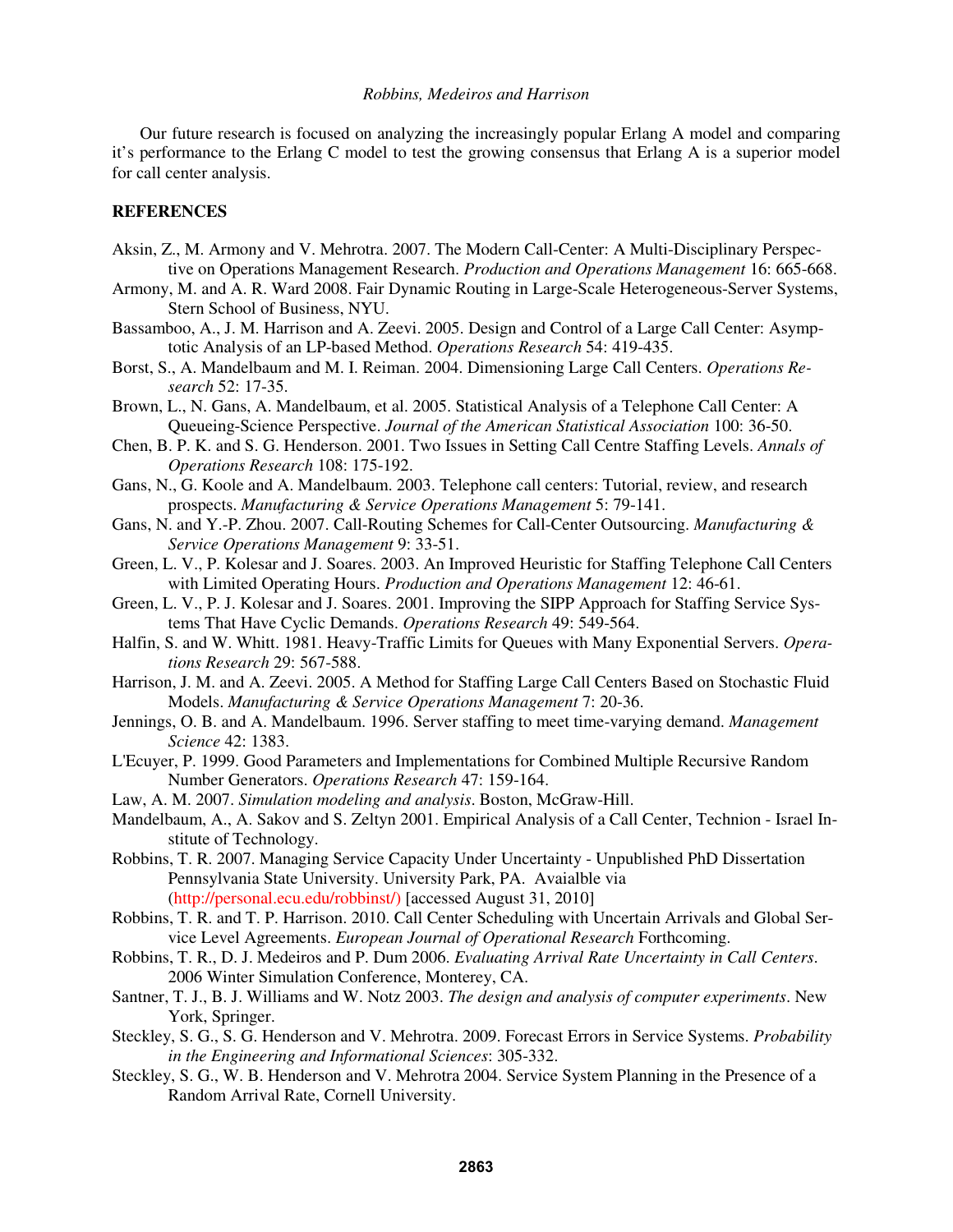Our future research is focused on analyzing the increasingly popular Erlang A model and comparing it's performance to the Erlang C model to test the growing consensus that Erlang A is a superior model for call center analysis.

### **REFERENCES**

- Aksin, Z., M. Armony and V. Mehrotra. 2007. The Modern Call-Center: A Multi-Disciplinary Perspective on Operations Management Research. *Production and Operations Management* 16: 665-668.
- Armony, M. and A. R. Ward 2008. Fair Dynamic Routing in Large-Scale Heterogeneous-Server Systems, Stern School of Business, NYU.
- Bassamboo, A., J. M. Harrison and A. Zeevi. 2005. Design and Control of a Large Call Center: Asymptotic Analysis of an LP-based Method. *Operations Research* 54: 419-435.
- Borst, S., A. Mandelbaum and M. I. Reiman. 2004. Dimensioning Large Call Centers. *Operations Research* 52: 17-35.
- Brown, L., N. Gans, A. Mandelbaum, et al. 2005. Statistical Analysis of a Telephone Call Center: A Queueing-Science Perspective. *Journal of the American Statistical Association* 100: 36-50.
- Chen, B. P. K. and S. G. Henderson. 2001. Two Issues in Setting Call Centre Staffing Levels. *Annals of Operations Research* 108: 175-192.
- Gans, N., G. Koole and A. Mandelbaum. 2003. Telephone call centers: Tutorial, review, and research prospects. *Manufacturing & Service Operations Management* 5: 79-141.
- Gans, N. and Y.-P. Zhou. 2007. Call-Routing Schemes for Call-Center Outsourcing. *Manufacturing & Service Operations Management* 9: 33-51.
- Green, L. V., P. Kolesar and J. Soares. 2003. An Improved Heuristic for Staffing Telephone Call Centers with Limited Operating Hours. *Production and Operations Management* 12: 46-61.
- Green, L. V., P. J. Kolesar and J. Soares. 2001. Improving the SIPP Approach for Staffing Service Systems That Have Cyclic Demands. *Operations Research* 49: 549-564.
- Halfin, S. and W. Whitt. 1981. Heavy-Traffic Limits for Queues with Many Exponential Servers. *Operations Research* 29: 567-588.
- Harrison, J. M. and A. Zeevi. 2005. A Method for Staffing Large Call Centers Based on Stochastic Fluid Models. *Manufacturing & Service Operations Management* 7: 20-36.
- Jennings, O. B. and A. Mandelbaum. 1996. Server staffing to meet time-varying demand. *Management Science* 42: 1383.
- L'Ecuyer, P. 1999. Good Parameters and Implementations for Combined Multiple Recursive Random Number Generators. *Operations Research* 47: 159-164.
- Law, A. M. 2007. *Simulation modeling and analysis*. Boston, McGraw-Hill.
- Mandelbaum, A., A. Sakov and S. Zeltyn 2001. Empirical Analysis of a Call Center, Technion Israel Institute of Technology.
- Robbins, T. R. 2007. Managing Service Capacity Under Uncertainty Unpublished PhD Dissertation Pennsylvania State University. University Park, PA. Avaialble via (http://personal.ecu.edu/robbinst/) [accessed August 31, 2010]
- Robbins, T. R. and T. P. Harrison. 2010. Call Center Scheduling with Uncertain Arrivals and Global Service Level Agreements. *European Journal of Operational Research* Forthcoming.
- Robbins, T. R., D. J. Medeiros and P. Dum 2006. *Evaluating Arrival Rate Uncertainty in Call Centers*. 2006 Winter Simulation Conference, Monterey, CA.
- Santner, T. J., B. J. Williams and W. Notz 2003. *The design and analysis of computer experiments*. New York, Springer.
- Steckley, S. G., S. G. Henderson and V. Mehrotra. 2009. Forecast Errors in Service Systems. *Probability in the Engineering and Informational Sciences*: 305-332.
- Steckley, S. G., W. B. Henderson and V. Mehrotra 2004. Service System Planning in the Presence of a Random Arrival Rate, Cornell University.